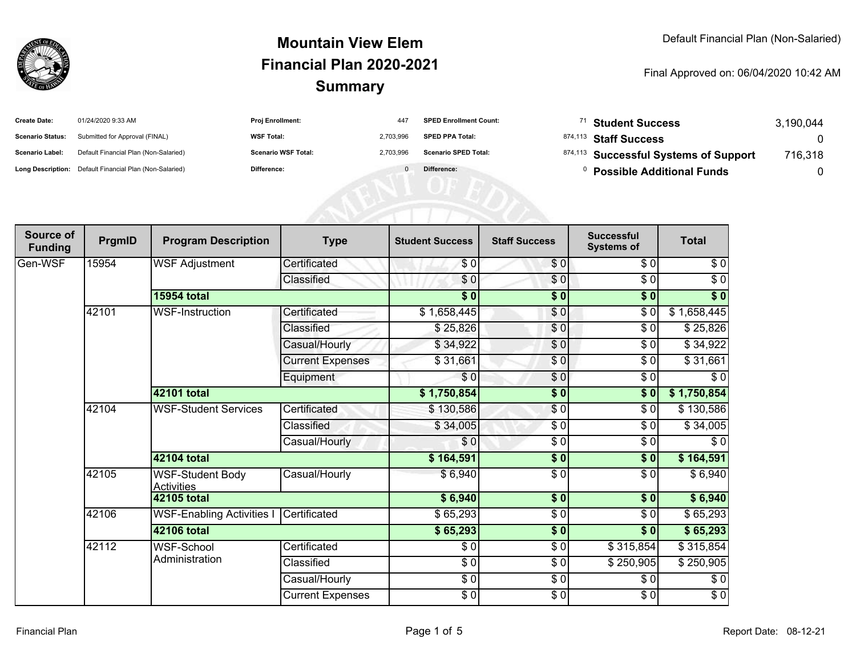

| <b>Create Date:</b>     | 01/24/2020 9:33 AM                                      | <b>Proj Enrollment:</b>    | 447       | <b>SPED Enrollment Count:</b> | <sup>71</sup> Student Success         | 3,190,044 |
|-------------------------|---------------------------------------------------------|----------------------------|-----------|-------------------------------|---------------------------------------|-----------|
| <b>Scenario Status:</b> | Submitted for Approval (FINAL)                          | <b>WSF Total:</b>          | 2.703.996 | <b>SPED PPA Total:</b>        | <sup>874,113</sup> Staff Success      |           |
| <b>Scenario Label:</b>  | Default Financial Plan (Non-Salaried)                   | <b>Scenario WSF Total:</b> | 2,703,996 | <b>Scenario SPED Total:</b>   | 874,113 Successful Systems of Support | 716,318   |
|                         | Long Description: Default Financial Plan (Non-Salaried) | Difference:                |           | Difference:                   | <b>Possible Additional Funds</b>      |           |
|                         |                                                         |                            |           |                               |                                       |           |
|                         |                                                         |                            |           |                               |                                       |           |
|                         |                                                         |                            |           |                               |                                       |           |

| <b>Source of</b><br><b>Funding</b> | PrgmID | <b>Program Description</b>            | <b>Type</b>             | <b>Student Success</b> | <b>Staff Success</b> | <b>Successful</b><br><b>Systems of</b> | <b>Total</b> |
|------------------------------------|--------|---------------------------------------|-------------------------|------------------------|----------------------|----------------------------------------|--------------|
| Gen-WSF                            | 15954  | <b>WSF Adjustment</b>                 | Certificated            | \$0                    | \$0                  | \$0                                    | \$0          |
|                                    |        |                                       | Classified              | \$0                    | $\frac{6}{6}$        | $\sqrt{6}$                             | $\sqrt{6}$   |
|                                    |        | <b>15954 total</b>                    |                         | $\overline{\$0}$       | $\overline{\$0}$     | $\sqrt{6}$                             | $\sqrt[6]{}$ |
|                                    | 42101  | <b>WSF-Instruction</b>                | Certificated            | \$1,658,445            | \$0                  | \$0                                    | \$1,658,445  |
|                                    |        |                                       | Classified              | \$25,826               | \$0                  | \$0                                    | \$25,826     |
|                                    |        |                                       | Casual/Hourly           | \$34,922               | $\frac{6}{6}$        | \$0                                    | \$34,922     |
|                                    |        |                                       | <b>Current Expenses</b> | \$31,661               | $\frac{6}{6}$        | \$0                                    | \$31,661     |
|                                    |        |                                       | Equipment               | \$0                    | $\frac{6}{6}$        | $\sqrt{6}$                             | $\sqrt{6}$   |
|                                    |        | 42101 total                           |                         | \$1,750,854            | $\overline{\$0}$     | \$0                                    | \$1,750,854  |
|                                    | 42104  | <b>WSF-Student Services</b>           | Certificated            | \$130,586              | $\frac{6}{3}$        | \$0                                    | \$130,586    |
|                                    |        |                                       | Classified              | \$34,005               | \$0                  | \$0                                    | \$34,005     |
|                                    |        |                                       | Casual/Hourly           | \$0                    | \$0                  | $\sqrt{6}$                             | $\sqrt{6}$   |
|                                    |        | 42104 total                           |                         | \$164,591              | $\frac{1}{6}$        | \$0                                    | \$164,591    |
|                                    | 42105  | WSF-Student Body<br><b>Activities</b> | Casual/Hourly           | \$6,940                | \$0                  | \$0                                    | \$6,940      |
|                                    |        | <b>42105 total</b>                    |                         | \$6,940                | $\overline{\$0}$     | \$0                                    | \$6,940      |
|                                    | 42106  | <b>WSF-Enabling Activities I</b>      | Certificated            | \$65,293               | $\sqrt{6}$           | $\sqrt{6}$                             | \$65,293     |
|                                    |        | <b>42106 total</b>                    |                         | \$65,293               | $\overline{\$0}$     | $\overline{\$0}$                       | \$65,293     |
|                                    | 42112  | WSF-School                            | Certificated            | \$0                    | $\frac{6}{9}$        | \$315,854                              | \$315,854    |
|                                    |        | Administration                        | Classified              | \$0                    | \$0                  | \$250,905                              | \$250,905    |
|                                    |        |                                       | Casual/Hourly           | $\frac{1}{6}$          | \$0                  | \$0                                    | \$0          |
|                                    |        |                                       | <b>Current Expenses</b> | \$0                    | $\frac{1}{6}$        | $\sqrt{3}$                             | $\sqrt{6}$   |
|                                    |        |                                       |                         |                        |                      |                                        |              |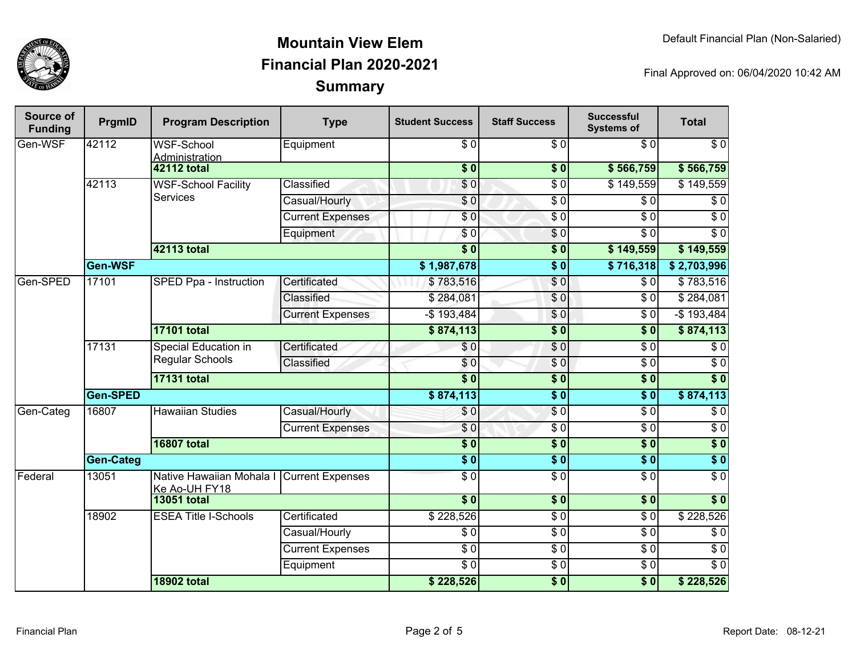

| Source of<br><b>Funding</b> | PrgmID           | <b>Program Description</b>                     | <b>Type</b>             | <b>Student Success</b>    | <b>Staff Success</b> | <b>Successful</b><br><b>Systems of</b> | <b>Total</b>     |     |
|-----------------------------|------------------|------------------------------------------------|-------------------------|---------------------------|----------------------|----------------------------------------|------------------|-----|
| Gen-WSF                     | 42112            | <b>WSF-School</b><br>Administration            | Equipment               | $\sqrt{6}$                | $\overline{30}$      | $\overline{\$0}$                       | $\sqrt{6}$       |     |
|                             |                  | <b>42112 total</b>                             |                         | $\overline{\textbf{S}^0}$ | \$0                  | \$566,759                              | \$566,759        |     |
|                             | 42113            | <b>WSF-School Facility</b>                     | Classified              | \$0                       | $\overline{\$0}$     | \$149,559                              | \$149,559        |     |
|                             |                  | <b>Services</b>                                | Casual/Hourly           | $\sqrt{6}$                | $\overline{\$0}$     | $\overline{\$0}$                       | $\overline{\$0}$ |     |
|                             |                  |                                                | <b>Current Expenses</b> | $\overline{S}0$           | $\overline{\$0}$     | $\overline{\$0}$                       | $\overline{\$0}$ |     |
|                             |                  |                                                | Equipment               | \$0                       | \$0                  | \$0                                    | $\overline{\$0}$ |     |
|                             |                  | 42113 total                                    |                         | $\overline{\$0}$          | $\overline{\$}0$     | \$149,559                              | \$149,559        |     |
|                             | Gen-WSF          |                                                |                         | \$1,987,678               | $\sqrt{6}$           | \$716,318                              | \$2,703,996      |     |
| Gen-SPED                    | 17101            | SPED Ppa - Instruction                         | Certificated            | \$783,516                 | $\sqrt{0}$           | \$0                                    | \$783,516        |     |
|                             |                  |                                                | Classified              | \$284,081                 | $\overline{\$0}$     | $\overline{\$0}$                       | \$284,081        |     |
|                             |                  |                                                | <b>Current Expenses</b> | $-$ \$193,484             | $\sqrt{0}$           | $\overline{\$0}$                       | $-$193,484$      |     |
|                             |                  | <b>17101 total</b>                             |                         | \$874,113                 | $\overline{\$0}$     | $\overline{\$0}$                       | \$874,113        |     |
|                             | 17131            | Special Education in<br><b>Regular Schools</b> | Certificated            | \$0                       | $\overline{\$0}$     | $\overline{\$0}$                       | \$0              |     |
|                             |                  |                                                | Classified              | \$0                       | $\sqrt{0}$           | $\overline{\$0}$                       | $\overline{\$0}$ |     |
|                             |                  | <b>17131 total</b>                             |                         | $\overline{\$0}$          | $\overline{\$0}$     | $\overline{\bullet}$ 0                 | $\overline{\$0}$ |     |
|                             | Gen-SPED         |                                                |                         | \$874,113                 | $\overline{\$0}$     | $\overline{\$0}$                       | \$874,113        |     |
| Gen-Categ                   | 16807            | <b>Hawaiian Studies</b>                        |                         | Casual/Hourly             | \$0                  | $\overline{\$0}$                       | $\overline{\$0}$ | \$0 |
|                             |                  |                                                | <b>Current Expenses</b> | $\overline{S}0$           | $\overline{\$0}$     | $\overline{$}0$                        | $\overline{\$0}$ |     |
|                             |                  | <b>16807 total</b>                             |                         | $\overline{\$0}$          | $\overline{\$0}$     | $\overline{\$0}$                       | $\sqrt{6}$       |     |
|                             | <b>Gen-Categ</b> |                                                |                         | $\overline{\$0}$          | $\overline{\$0}$     | $\overline{\$0}$                       | $\overline{\$0}$ |     |
| Federal                     | 13051            | Native Hawaiian Mohala I<br>Ke Ao-UH FY18      | <b>Current Expenses</b> | $\overline{\$0}$          | $\overline{\$0}$     | $\overline{\$0}$                       | $\overline{\$0}$ |     |
|                             |                  | <b>13051 total</b>                             |                         | $\overline{\$0}$          | \$0                  | $\overline{\$0}$                       | $\overline{\$0}$ |     |
|                             | 18902            | <b>ESEA Title I-Schools</b>                    | Certificated            | \$228,526                 | $\sqrt{6}$           | $\sqrt{6}$                             | \$228,526        |     |
|                             |                  |                                                | Casual/Hourly           | $\sqrt{6}$                | $\overline{30}$      | $\overline{\$0}$                       | $\sqrt{6}$       |     |
|                             |                  |                                                | <b>Current Expenses</b> | $\overline{50}$           | $\overline{30}$      | $\overline{\$0}$                       | $\overline{S}0$  |     |
|                             |                  |                                                | Equipment               | $\overline{30}$           | $\sqrt{6}$           | $\sqrt{6}$                             | $\overline{S}0$  |     |
|                             |                  | <b>18902 total</b>                             |                         | \$228,526                 | \$0                  | \$0                                    | \$228,526        |     |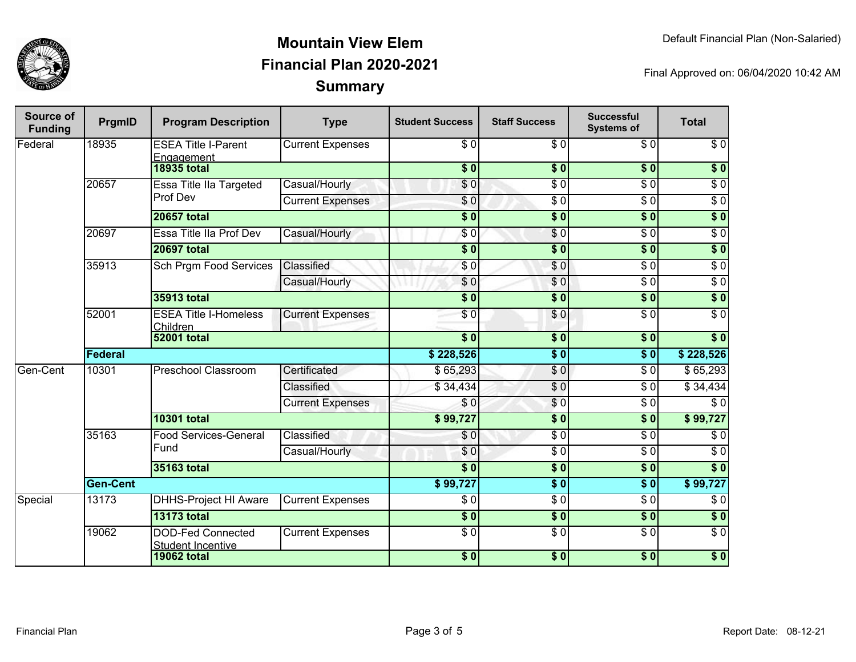

| Source of<br><b>Funding</b> | PrgmID             | <b>Program Description</b>                           | <b>Type</b>                  | <b>Student Success</b> | <b>Staff Success</b> | <b>Successful</b><br><b>Systems of</b> | <b>Total</b>     |                  |
|-----------------------------|--------------------|------------------------------------------------------|------------------------------|------------------------|----------------------|----------------------------------------|------------------|------------------|
| Federal                     | 18935              | <b>ESEA Title I-Parent</b><br>Engagement             | <b>Current Expenses</b>      | \$0                    | \$0                  | \$0                                    | $\sqrt{6}$       |                  |
|                             | <b>18935 total</b> |                                                      |                              | $\frac{1}{2}$          | $\frac{1}{2}$        | $\overline{\$0}$                       | $\overline{\$0}$ |                  |
|                             | 20657              | Essa Title IIa Targeted                              | Casual/Hourly                | \$0                    | $\overline{\$0}$     | $\overline{\$0}$                       | $\overline{\$0}$ |                  |
|                             |                    | Prof Dev                                             | <b>Current Expenses</b>      | \$0                    | \$ 0                 | $\overline{\$0}$                       | $\overline{\$0}$ |                  |
|                             |                    | <b>20657 total</b>                                   |                              | $\overline{\$0}$       | $\sqrt{6}$           | \$0                                    | \$0              |                  |
|                             | 20697              | Essa Title IIa Prof Dev                              | Casual/Hourly                | $\sqrt{6}$             | $\overline{\$0}$     | $\overline{\$0}$                       | $\overline{\$0}$ |                  |
|                             |                    | <b>20697 total</b>                                   |                              | $\overline{\$0}$       | $\overline{\$0}$     | \$0                                    | $\sqrt{ }$       |                  |
|                             | 35913              | <b>Sch Prgm Food Services</b>                        | Classified                   | \$0                    | \$0                  | $\overline{\$0}$                       | $\overline{\$0}$ |                  |
|                             |                    |                                                      | Casual/Hourly                | \$0                    | \$0                  | $\overline{\$0}$                       | $\overline{\$0}$ |                  |
|                             |                    | 35913 total                                          |                              | s <sub>0</sub>         | $\overline{\$0}$     | \$0                                    | $\sqrt{ }$       |                  |
|                             | 52001              | <b>ESEA Title I-Homeless</b><br><b>Children</b>      | <b>Current Expenses</b>      | $\overline{S}0$        | $\sqrt{6}$           | $\overline{\$0}$                       | $\overline{\$0}$ |                  |
|                             |                    | <b>52001 total</b>                                   |                              | $\overline{\bullet}$   | $\overline{\$0}$     | $\overline{\$0}$                       | $\overline{\$0}$ |                  |
|                             | Federal            |                                                      |                              |                        | \$0                  | $\sqrt{6}$                             | \$228,526        |                  |
| Gen-Cent                    | 10301              | <b>Preschool Classroom</b>                           | Certificated                 | \$65,293               | $\frac{6}{6}$        | $\sqrt{6}$                             | \$65,293         |                  |
|                             |                    |                                                      | Classified                   | \$34,434               | $\sqrt{6}$           | $\overline{\$0}$                       | \$34,434         |                  |
|                             |                    |                                                      | <b>Current Expenses</b>      | \$0                    | $\frac{6}{3}$        | $\sqrt{6}$                             | \$0              |                  |
|                             |                    | <b>10301 total</b>                                   |                              | \$99,727               | \$0                  | $\sqrt{6}$                             | \$99,727         |                  |
|                             | 35163              |                                                      | <b>Food Services-General</b> | Classified             | \$0                  | \$0                                    | $\sqrt{6}$       | $\sqrt{6}$       |
|                             |                    | Fund                                                 | Casual/Hourly                | \$0                    | $\frac{3}{2}$        | $\sqrt{6}$                             | $\sqrt{6}$       |                  |
|                             |                    | 35163 total                                          |                              | \$0                    | \$0                  | \$0                                    | $\overline{\$0}$ |                  |
|                             | <b>Gen-Cent</b>    |                                                      | \$99,727                     | $\sqrt{6}$             | $\overline{\bullet}$ | \$99,727                               |                  |                  |
| Special                     | 13173              | <b>DHHS-Project HI Aware</b>                         | <b>Current Expenses</b>      | \$0                    | \$0                  | \$0                                    | $\sqrt{6}$       |                  |
|                             |                    | <b>13173 total</b>                                   |                              | $\overline{\$0}$       | $\overline{\$0}$     | $\sqrt{6}$                             | \$0              |                  |
|                             | 19062              | <b>DOD-Fed Connected</b><br><b>Student Incentive</b> | <b>Current Expenses</b>      | $\sqrt{6}$             | $\overline{S}0$      | $\sqrt{6}$                             | $\sqrt{6}$       |                  |
|                             |                    |                                                      | <b>19062 total</b>           |                        | \$0                  | $\overline{\$0}$                       | $\overline{\$0}$ | $\overline{\$0}$ |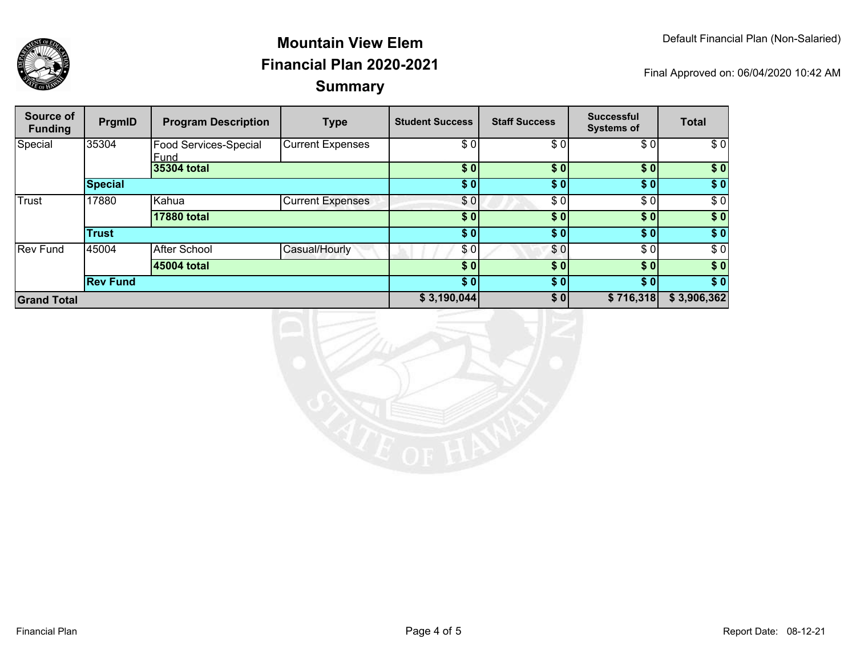

| Source of<br><b>Funding</b> | PrgmID          | <b>Program Description</b>    | <b>Type</b>             | <b>Student Success</b> | <b>Staff Success</b> | <b>Successful</b><br><b>Systems of</b> | <b>Total</b> |
|-----------------------------|-----------------|-------------------------------|-------------------------|------------------------|----------------------|----------------------------------------|--------------|
| Special                     | 35304           | Food Services-Special<br>Fund | <b>Current Expenses</b> | \$0                    | \$0                  | \$0]                                   | \$0          |
|                             |                 | 35304 total                   |                         | \$0                    | \$0                  | \$0]                                   | \$0          |
|                             | <b>Special</b>  |                               |                         | \$0]                   | \$0]                 | \$0]                                   | \$0          |
| Trust                       | 17880           | Kahua                         | <b>Current Expenses</b> | \$0                    | \$0                  | \$0]                                   | \$0          |
|                             |                 | <b>17880 total</b>            |                         | \$0                    | \$0]                 | \$0]                                   | \$0          |
|                             | <b>Trust</b>    |                               |                         | \$0]                   | \$01                 | \$0]                                   | $\sqrt{ }$   |
| <b>Rev Fund</b>             | 45004           | <b>After School</b>           | Casual/Hourly           | \$0                    | \$0                  | \$0                                    | \$0          |
|                             |                 | 45004 total                   |                         | \$0                    | \$0                  | \$0]                                   | \$0          |
|                             | <b>Rev Fund</b> |                               |                         | \$0]                   | \$0]                 | \$0]                                   | \$0          |
| <b>Grand Total</b>          |                 |                               | \$3,190,044             | \$0                    | \$716,318            | \$3,906,362                            |              |